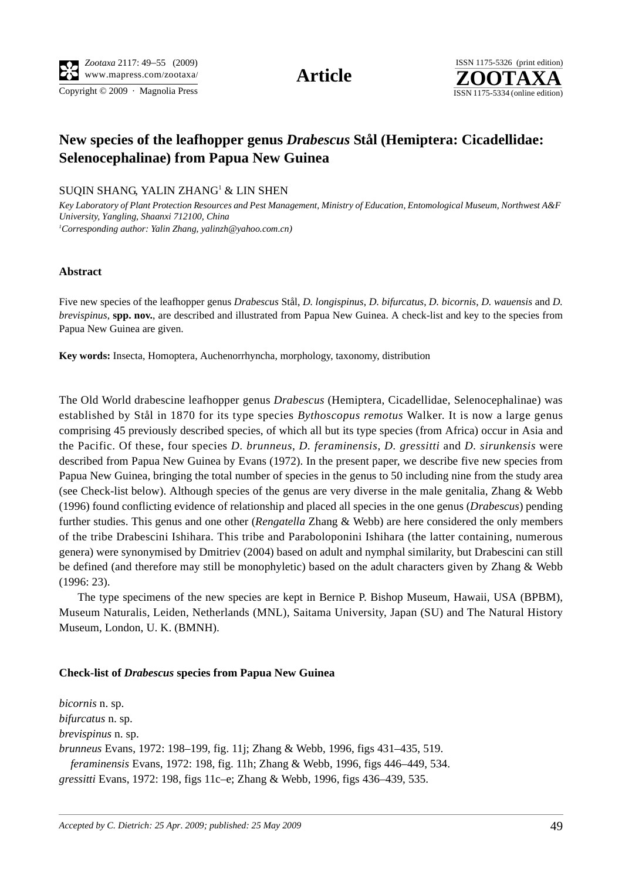Copyright © 2009 · Magnolia Press ISSN 1175-5334 (online edition)



# **New species of the leafhopper genus** *Drabescus* **Stål (Hemiptera: Cicadellidae: Selenocephalinae) from Papua New Guinea**

## SUQIN SHANG, YALIN ZHANG<sup>1</sup> & LIN SHEN

*Key Laboratory of Plant Protection Resources and Pest Management, Ministry of Education, Entomological Museum, Northwest A&F University, Yangling, Shaanxi 712100, China 1 Corresponding author: Yalin Zhang, [yalinzh@yahoo.com.cn\)](mailto:yalinzh@yahoo.com.cn)*

#### **Abstract**

Five new species of the leafhopper genus *Drabescus* Stål, *D. longispinus*, *D. bifurcatus*, *D. bicornis*, *D. wauensis* and *D. brevispinus*, spp. nov., are described and illustrated from Papua New Guinea. A check-list and key to the species from Papua New Guinea are given.

**Key words:** Insecta, Homoptera, Auchenorrhyncha, morphology, taxonomy, distribution

The Old World drabescine leafhopper genus *Drabescus* (Hemiptera, Cicadellidae, Selenocephalinae) was established by Stål in 1870 for its type species *Bythoscopus remotus* Walker. It is now a large genus comprising 45 previously described species, of which all but its type species (from Africa) occur in Asia and the Pacific. Of these, four species *D. brunneus*, *D. feraminensis*, *D. gressitti* and *D. sirunkensis* were described from Papua New Guinea by Evans (1972). In the present paper, we describe five new species from Papua New Guinea, bringing the total number of species in the genus to 50 including nine from the study area (see Check-list below). Although species of the genus are very diverse in the male genitalia, Zhang & Webb (1996) found conflicting evidence of relationship and placed all species in the one genus (*Drabescus*) pending further studies. This genus and one other (*Rengatella* Zhang & Webb) are here considered the only members of the tribe Drabescini Ishihara. This tribe and Paraboloponini Ishihara (the latter containing, numerous genera) were synonymised by Dmitriev (2004) based on adult and nymphal similarity, but Drabescini can still be defined (and therefore may still be monophyletic) based on the adult characters given by Zhang & Webb (1996: 23).

The type specimens of the new species are kept in Bernice P. Bishop Museum, Hawaii, USA (BPBM), Museum Naturalis, Leiden, Netherlands (MNL), Saitama University, Japan (SU) and The Natural History Museum, London, U. K. (BMNH).

#### **Check-list of** *Drabescus* **species from Papua New Guinea**

*bicornis* n. sp. *bifurcatus* n. sp. *brevispinus* n. sp. *brunneus* Evans, 1972: 198–199, fig. 11j; Zhang & Webb, 1996, figs 431–435, 519.  *feraminensis* Evans, 1972: 198, fig. 11h; Zhang & Webb, 1996, figs 446–449, 534. *gressitti* Evans, 1972: 198, figs 11c–e; Zhang & Webb, 1996, figs 436–439, 535.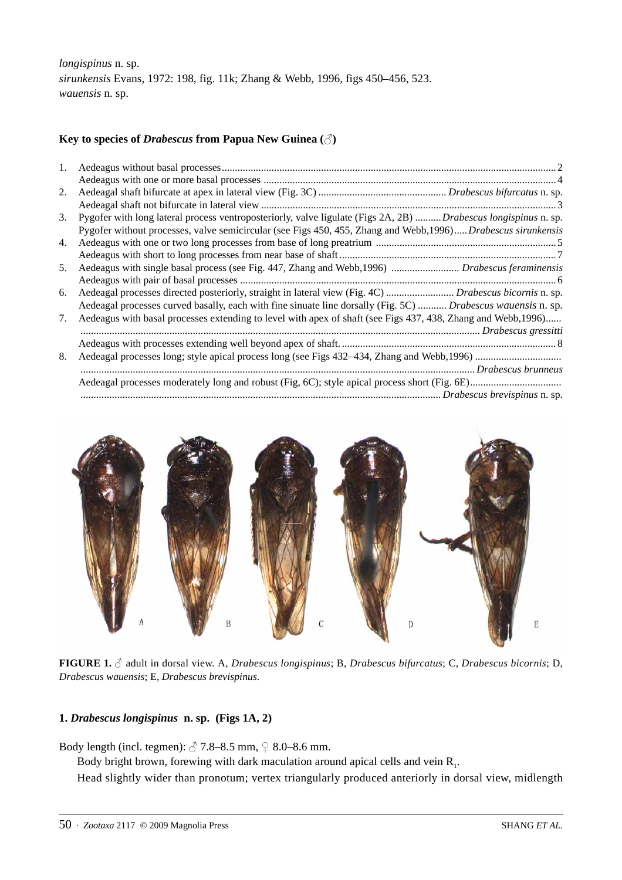*longispinus* n. sp. *sirunkensis* Evans, 1972: 198, fig. 11k; Zhang & Webb, 1996, figs 450–456, 523. *wauensis* n. sp.

## **Key to species of** *Drabescus* **from Papua New Guinea (**♂**)**

| 1. |                                                                                                                       |
|----|-----------------------------------------------------------------------------------------------------------------------|
|    |                                                                                                                       |
| 2. |                                                                                                                       |
|    |                                                                                                                       |
| 3. | Pygofer with long lateral process ventroposteriorly, valve ligulate (Figs 2A, 2B) <i>Drabescus longispinus</i> n. sp. |
|    | Pygofer without processes, valve semicircular (see Figs 450, 455, Zhang and Webb, 1996) Drabescus sirunkensis         |
| 4. |                                                                                                                       |
|    |                                                                                                                       |
| 5. | Aedeagus with single basal process (see Fig. 447, Zhang and Webb, 1996)  Drabescus feraminensis                       |
|    |                                                                                                                       |
| 6. | Aedeagal processes directed posteriorly, straight in lateral view (Fig. 4C)  Drabescus bicornis n. sp.                |
|    | Aedeagal processes curved basally, each with fine sinuate line dorsally (Fig. 5C)  Drabescus wauensis n. sp.          |
| 7. | Aedeagus with basal processes extending to level with apex of shaft (see Figs 437, 438, Zhang and Webb, 1996)         |
|    |                                                                                                                       |
|    |                                                                                                                       |
| 8. |                                                                                                                       |
|    |                                                                                                                       |
|    |                                                                                                                       |
|    |                                                                                                                       |



**FIGURE 1.** ♂ adult in dorsal view. A, *Drabescus longispinus*; B, *Drabescus bifurcatus*; C, *Drabescus bicornis*; D, *Drabescus wauensis*; E, *Drabescus brevispinus*.

## **1.** *Drabescus longispinus* **n. sp. (Figs 1A, 2)**

Body length (incl. tegmen):  $\sqrt[3]{7.8-8.5 \text{ mm}}$ ,  $\frac{\sqrt{2}}{8.0-8.6 \text{ mm}}$ .

Body bright brown, forewing with dark maculation around apical cells and vein  $R<sub>1</sub>$ .

Head slightly wider than pronotum; vertex triangularly produced anteriorly in dorsal view, midlength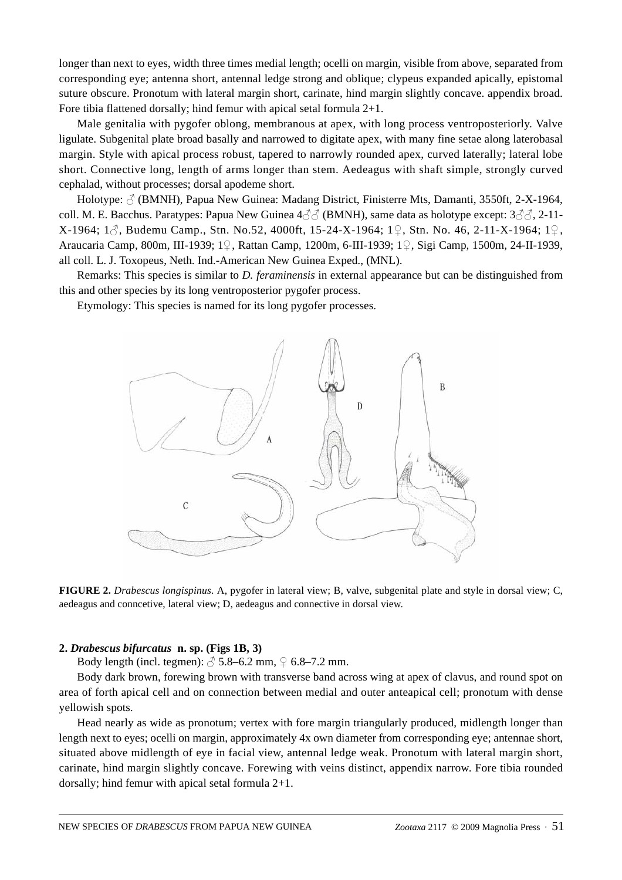longer than next to eyes, width three times medial length; ocelli on margin, visible from above, separated from corresponding eye; antenna short, antennal ledge strong and oblique; clypeus expanded apically, epistomal suture obscure. Pronotum with lateral margin short, carinate, hind margin slightly concave. appendix broad. Fore tibia flattened dorsally; hind femur with apical setal formula 2+1.

Male genitalia with pygofer oblong, membranous at apex, with long process ventroposteriorly. Valve ligulate. Subgenital plate broad basally and narrowed to digitate apex, with many fine setae along laterobasal margin. Style with apical process robust, tapered to narrowly rounded apex, curved laterally; lateral lobe short. Connective long, length of arms longer than stem. Aedeagus with shaft simple, strongly curved cephalad, without processes; dorsal apodeme short.

Holotype:  $\circled{}$  (BMNH), Papua New Guinea: Madang District, Finisterre Mts, Damanti, 3550ft, 2-X-1964, coll. M. E. Bacchus. Paratypes: Papua New Guinea  $4\text{O}^{\wedge}\text{O}$  (BMNH), same data as holotype except:  $3\text{O}^{\wedge}\text{O}$ , 2-11-X-1964; 1♂, Budemu Camp., Stn. No.52, 4000ft, 15-24-X-1964; 1♀, Stn. No. 46, 2-11-X-1964; 1♀, Araucaria Camp, 800m, III-1939; 1♀, Rattan Camp, 1200m, 6-III-1939; 1♀, Sigi Camp, 1500m, 24-II-1939, all coll. L. J. Toxopeus, Neth. Ind.-American New Guinea Exped., (MNL).

Remarks: This species is similar to *D. feraminensis* in external appearance but can be distinguished from this and other species by its long ventroposterior pygofer process.

Etymology: This species is named for its long pygofer processes.



**FIGURE 2.** *Drabescus longispinus*. A, pygofer in lateral view; B, valve, subgenital plate and style in dorsal view; C, aedeagus and conncetive, lateral view; D, aedeagus and connective in dorsal view.

## **2.** *Drabescus bifurcatus* **n. sp. (Figs 1B, 3)**

Body length (incl. tegmen):  $\beta$  5.8–6.2 mm,  $\sqrt{}$  6.8–7.2 mm.

Body dark brown, forewing brown with transverse band across wing at apex of clavus, and round spot on area of forth apical cell and on connection between medial and outer anteapical cell; pronotum with dense yellowish spots.

Head nearly as wide as pronotum; vertex with fore margin triangularly produced, midlength longer than length next to eyes; ocelli on margin, approximately 4x own diameter from corresponding eye; antennae short, situated above midlength of eye in facial view, antennal ledge weak. Pronotum with lateral margin short, carinate, hind margin slightly concave. Forewing with veins distinct, appendix narrow. Fore tibia rounded dorsally; hind femur with apical setal formula 2+1.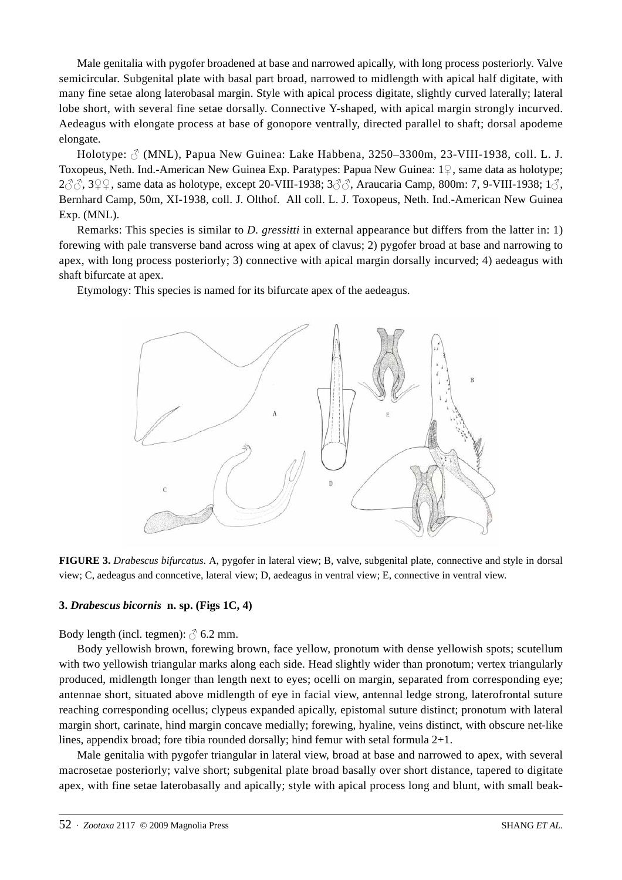Male genitalia with pygofer broadened at base and narrowed apically, with long process posteriorly. Valve semicircular. Subgenital plate with basal part broad, narrowed to midlength with apical half digitate, with many fine setae along laterobasal margin. Style with apical process digitate, slightly curved laterally; lateral lobe short, with several fine setae dorsally. Connective Y-shaped, with apical margin strongly incurved. Aedeagus with elongate process at base of gonopore ventrally, directed parallel to shaft; dorsal apodeme elongate.

Holotype:  $\beta$  (MNL), Papua New Guinea: Lake Habbena, 3250–3300m, 23-VIII-1938, coll. L. J. Toxopeus, Neth. Ind.-American New Guinea Exp. Paratypes: Papua New Guinea: 1♀, same data as holotype;  $2\text{O}3\text{O}$ ,  $3\text{O}9\text{O}$ , same data as holotype, except 20-VIII-1938;  $3\text{O}3\text{O}$ , Araucaria Camp, 800m: 7, 9-VIII-1938;  $1\text{O}$ , Bernhard Camp, 50m, XI-1938, coll. J. Olthof. All coll. L. J. Toxopeus, Neth. Ind.-American New Guinea Exp. (MNL).

Remarks: This species is similar to *D. gressitti* in external appearance but differs from the latter in: 1) forewing with pale transverse band across wing at apex of clavus; 2) pygofer broad at base and narrowing to apex, with long process posteriorly; 3) connective with apical margin dorsally incurved; 4) aedeagus with shaft bifurcate at apex.

Etymology: This species is named for its bifurcate apex of the aedeagus.



**FIGURE 3.** *Drabescus bifurcatus*. A, pygofer in lateral view; B, valve, subgenital plate, connective and style in dorsal view; C, aedeagus and conncetive, lateral view; D, aedeagus in ventral view; E, connective in ventral view.

## **3.** *Drabescus bicornis* **n. sp. (Figs 1C, 4)**

Body length (incl. tegmen):  $\delta$  6.2 mm.

Body yellowish brown, forewing brown, face yellow, pronotum with dense yellowish spots; scutellum with two yellowish triangular marks along each side. Head slightly wider than pronotum; vertex triangularly produced, midlength longer than length next to eyes; ocelli on margin, separated from corresponding eye; antennae short, situated above midlength of eye in facial view, antennal ledge strong, laterofrontal suture reaching corresponding ocellus; clypeus expanded apically, epistomal suture distinct; pronotum with lateral margin short, carinate, hind margin concave medially; forewing, hyaline, veins distinct, with obscure net-like lines, appendix broad; fore tibia rounded dorsally; hind femur with setal formula 2+1.

Male genitalia with pygofer triangular in lateral view, broad at base and narrowed to apex, with several macrosetae posteriorly; valve short; subgenital plate broad basally over short distance, tapered to digitate apex, with fine setae laterobasally and apically; style with apical process long and blunt, with small beak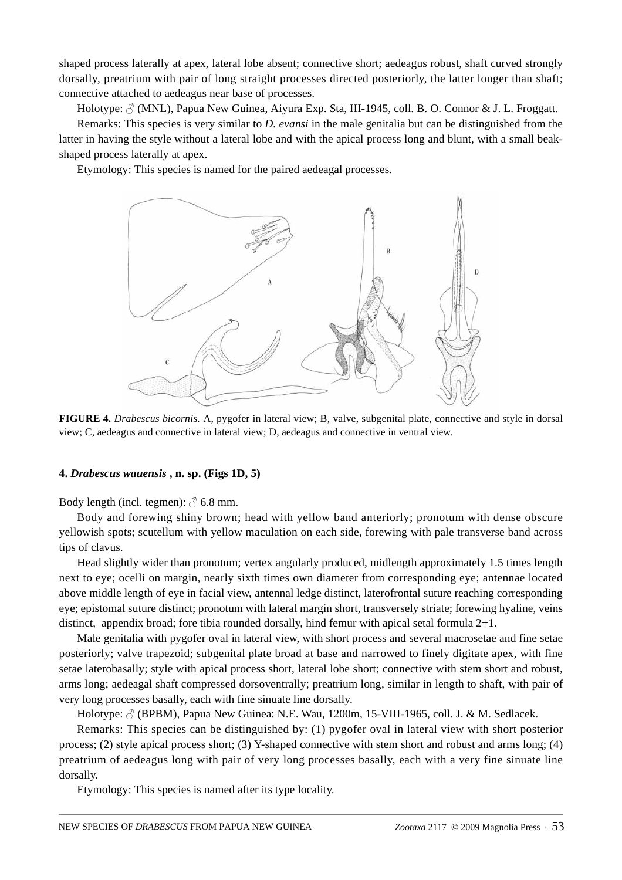shaped process laterally at apex, lateral lobe absent; connective short; aedeagus robust, shaft curved strongly dorsally, preatrium with pair of long straight processes directed posteriorly, the latter longer than shaft; connective attached to aedeagus near base of processes.

Holotype:  $\Diamond$  (MNL), Papua New Guinea, Aiyura Exp. Sta, III-1945, coll. B. O. Connor & J. L. Froggatt.

Remarks: This species is very similar to *D. evansi* in the male genitalia but can be distinguished from the latter in having the style without a lateral lobe and with the apical process long and blunt, with a small beakshaped process laterally at apex.

Etymology: This species is named for the paired aedeagal processes.



**FIGURE 4.** *Drabescus bicornis.* A, pygofer in lateral view; B, valve, subgenital plate, connective and style in dorsal view; C, aedeagus and connective in lateral view; D, aedeagus and connective in ventral view.

### **4.** *Drabescus wauensis* **, n. sp. (Figs 1D, 5)**

Body length (incl. tegmen):  $\beta$  6.8 mm.

Body and forewing shiny brown; head with yellow band anteriorly; pronotum with dense obscure yellowish spots; scutellum with yellow maculation on each side, forewing with pale transverse band across tips of clavus.

Head slightly wider than pronotum; vertex angularly produced, midlength approximately 1.5 times length next to eye; ocelli on margin, nearly sixth times own diameter from corresponding eye; antennae located above middle length of eye in facial view, antennal ledge distinct, laterofrontal suture reaching corresponding eye; epistomal suture distinct; pronotum with lateral margin short, transversely striate; forewing hyaline, veins distinct, appendix broad; fore tibia rounded dorsally, hind femur with apical setal formula 2+1.

Male genitalia with pygofer oval in lateral view, with short process and several macrosetae and fine setae posteriorly; valve trapezoid; subgenital plate broad at base and narrowed to finely digitate apex, with fine setae laterobasally; style with apical process short, lateral lobe short; connective with stem short and robust, arms long; aedeagal shaft compressed dorsoventrally; preatrium long, similar in length to shaft, with pair of very long processes basally, each with fine sinuate line dorsally.

Holotype:  $\triangle$  (BPBM), Papua New Guinea: N.E. Wau, 1200m, 15-VIII-1965, coll. J. & M. Sedlacek.

Remarks: This species can be distinguished by: (1) pygofer oval in lateral view with short posterior process; (2) style apical process short; (3) Y-shaped connective with stem short and robust and arms long; (4) preatrium of aedeagus long with pair of very long processes basally, each with a very fine sinuate line dorsally.

Etymology: This species is named after its type locality.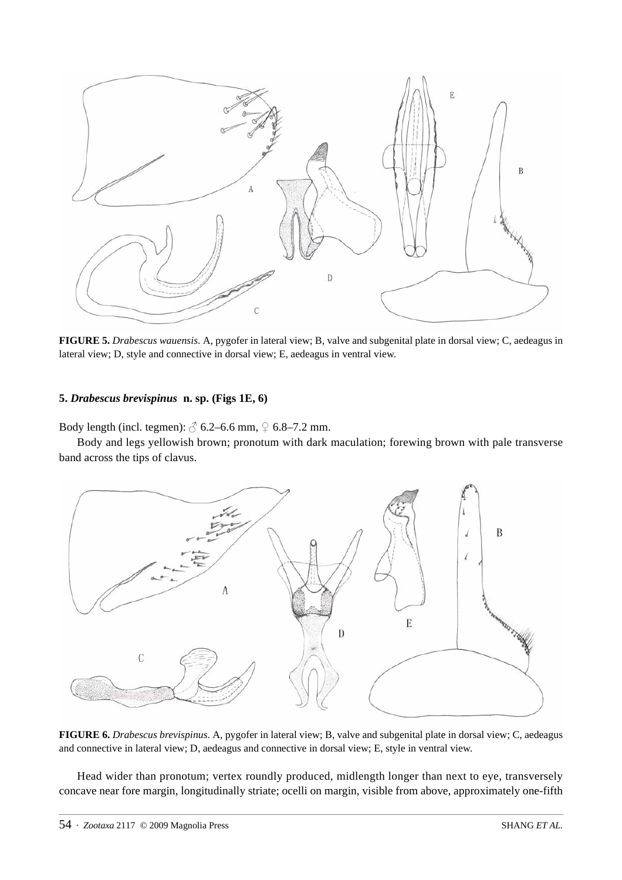

**FIGURE 5.** *Drabescus wauensis*. A, pygofer in lateral view; B, valve and subgenital plate in dorsal view; C, aedeagus in lateral view; D, style and connective in dorsal view; E, aedeagus in ventral view.

## **5.** *Drabescus brevispinus* **n. sp. (Figs 1E, 6)**

Body length (incl. tegmen):  $\circled{}$  6.2–6.6 mm,  $\circled{}$  6.8–7.2 mm.

Body and legs yellowish brown; pronotum with dark maculation; forewing brown with pale transverse band across the tips of clavus.



**FIGURE 6.** *Drabescus brevispinus*. A, pygofer in lateral view; B, valve and subgenital plate in dorsal view; C, aedeagus and connective in lateral view; D, aedeagus and connective in dorsal view; E, style in ventral view.

Head wider than pronotum; vertex roundly produced, midlength longer than next to eye, transversely concave near fore margin, longitudinally striate; ocelli on margin, visible from above, approximately one-fifth